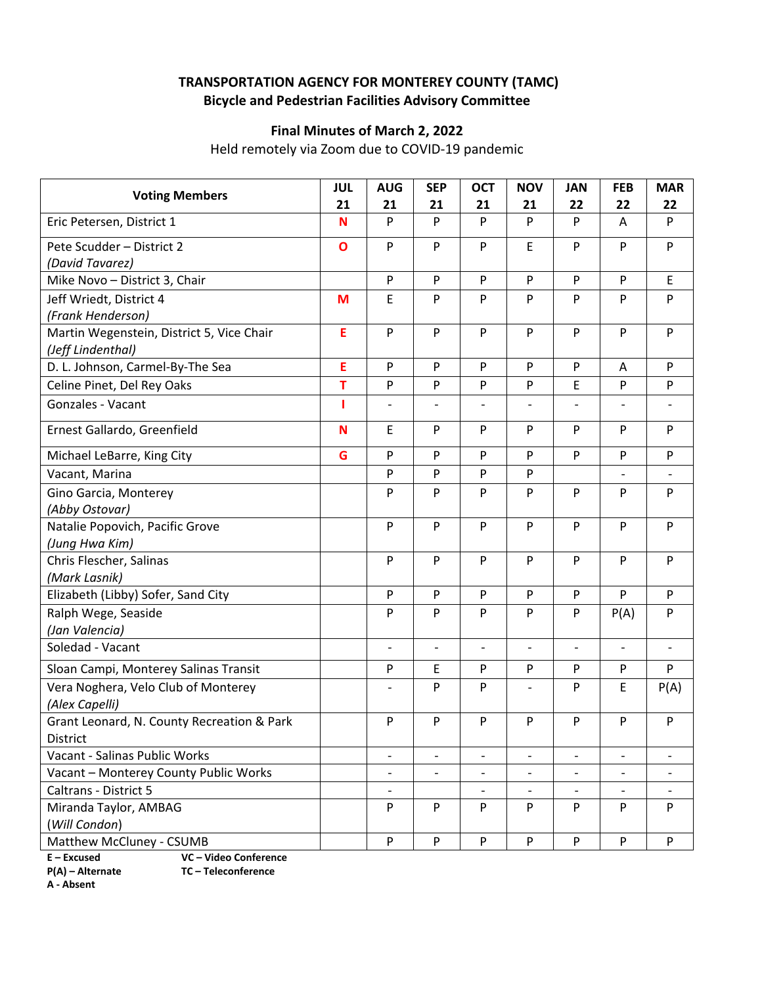## **TRANSPORTATION AGENCY FOR MONTEREY COUNTY (TAMC) Bicycle and Pedestrian Facilities Advisory Committee**

## **Final Minutes of March 2, 2022**

Held remotely via Zoom due to COVID‐19 pandemic

| <b>Voting Members</b>                                          | <b>JUL</b><br>21 | <b>AUG</b><br>21         | <b>SEP</b><br>21         | <b>OCT</b><br>21             | <b>NOV</b><br>21         | <b>JAN</b><br>22         | <b>FEB</b><br>22             | <b>MAR</b><br>22         |
|----------------------------------------------------------------|------------------|--------------------------|--------------------------|------------------------------|--------------------------|--------------------------|------------------------------|--------------------------|
| Eric Petersen, District 1                                      | N                | P                        | P                        | P                            | P                        | P                        | A                            | P                        |
| Pete Scudder - District 2<br>(David Tavarez)                   | $\mathbf{o}$     | P                        | P                        | P                            | E                        | P                        | P                            | P                        |
| Mike Novo - District 3, Chair                                  |                  | ${\sf P}$                | P                        | $\mathsf{P}$                 | P                        | P                        | $\mathsf{P}$                 | E                        |
| Jeff Wriedt, District 4<br>(Frank Henderson)                   | M                | E                        | P                        | P                            | P                        | P                        | P                            | P                        |
| Martin Wegenstein, District 5, Vice Chair<br>(Jeff Lindenthal) | E                | P                        | P                        | P                            | P                        | P                        | $\mathsf{P}$                 | P                        |
| D. L. Johnson, Carmel-By-The Sea                               | E                | P                        | P                        | P                            | P                        | P                        | A                            | P                        |
| Celine Pinet, Del Rey Oaks                                     | T                | P                        | P                        | P                            | P                        | E                        | $\mathsf{P}$                 | P                        |
| Gonzales - Vacant                                              | 1                |                          |                          |                              |                          |                          |                              |                          |
| Ernest Gallardo, Greenfield                                    | N                | E                        | P                        | P                            | P                        | P                        | P                            | P                        |
| Michael LeBarre, King City                                     | G                | P                        | P                        | P                            | P                        | P                        | P                            | P                        |
| Vacant, Marina                                                 |                  | P                        | P                        | P                            | P                        |                          | $\qquad \qquad \blacksquare$ | $\overline{\phantom{a}}$ |
| Gino Garcia, Monterey<br>(Abby Ostovar)                        |                  | P                        | P                        | P                            | P                        | P                        | P                            | P                        |
| Natalie Popovich, Pacific Grove<br>(Jung Hwa Kim)              |                  | P                        | P                        | P                            | P                        | P                        | P                            | P                        |
| Chris Flescher, Salinas<br>(Mark Lasnik)                       |                  | P                        | P                        | P                            | P                        | P                        | P                            | P                        |
| Elizabeth (Libby) Sofer, Sand City                             |                  | ${\sf P}$                | ${\sf P}$                | $\mathsf{P}$                 | P                        | ${\sf P}$                | P                            | P                        |
| Ralph Wege, Seaside<br>(Jan Valencia)                          |                  | P                        | P                        | P                            | P                        | P                        | P(A)                         | P                        |
| Soledad - Vacant                                               |                  | $\overline{\phantom{a}}$ | $\overline{\phantom{0}}$ | $\qquad \qquad \blacksquare$ | $\overline{\phantom{a}}$ | $\overline{\phantom{a}}$ | $\qquad \qquad -$            | $\overline{\phantom{a}}$ |
| Sloan Campi, Monterey Salinas Transit                          |                  | P                        | E                        | ${\sf P}$                    | P                        | P                        | ${\sf P}$                    | P                        |
| Vera Noghera, Velo Club of Monterey<br>(Alex Capelli)          |                  |                          | P                        | P                            |                          | P                        | E                            | P(A)                     |
| Grant Leonard, N. County Recreation & Park<br>District         |                  | P                        | P                        | P                            | P                        | P                        | P                            | P                        |
| Vacant - Salinas Public Works                                  |                  |                          | $\overline{a}$           |                              |                          |                          |                              |                          |
| Vacant - Monterey County Public Works                          |                  | $\overline{\phantom{a}}$ | $\qquad \qquad -$        | $\overline{\phantom{a}}$     | $\overline{\phantom{a}}$ | $\qquad \qquad -$        | $\overline{\phantom{a}}$     |                          |
| Caltrans - District 5                                          |                  | $\overline{\phantom{0}}$ |                          | $\overline{\phantom{a}}$     |                          | $\overline{\phantom{0}}$ | $\overline{\phantom{a}}$     |                          |
| Miranda Taylor, AMBAG                                          |                  | P                        | P                        | P                            | P                        | P                        | P                            | P                        |
| (Will Condon)<br>Matthew McCluney - CSUMB                      |                  | P                        | P                        | ${\sf P}$                    | P                        | P                        | P                            | P                        |
|                                                                |                  |                          |                          |                              |                          |                          |                              |                          |

**E – Excused VC – Video Conference** 

**A ‐ Absent**

**P(A) – Alternate TC – Teleconference**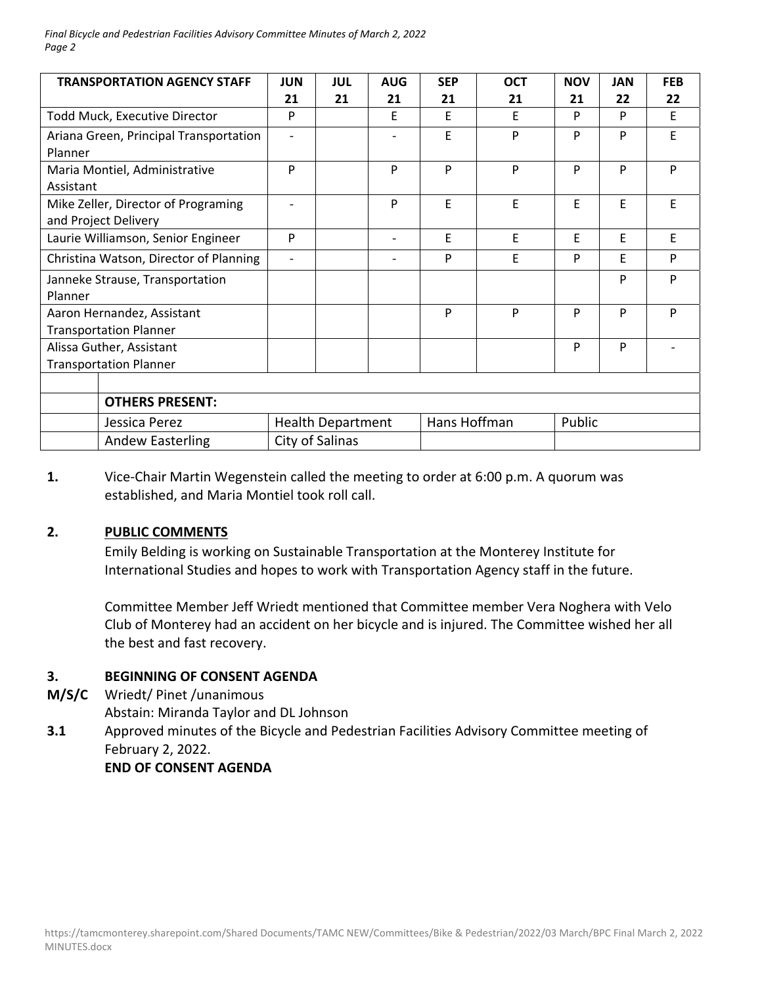*Final Bicycle and Pedestrian Facilities Advisory Committee Minutes of March 2, 2022 Page 2*

| <b>TRANSPORTATION AGENCY STAFF</b>                          | <b>JUN</b><br>21         | <b>JUL</b><br>21 | <b>AUG</b><br>21 | <b>SEP</b><br>21 | <b>OCT</b><br>21 | <b>NOV</b><br>21 | <b>JAN</b><br>22 | <b>FEB</b><br>22 |
|-------------------------------------------------------------|--------------------------|------------------|------------------|------------------|------------------|------------------|------------------|------------------|
| Todd Muck, Executive Director                               | P                        |                  | E                | E                | E                | P                | P                | E                |
| Ariana Green, Principal Transportation<br>Planner           | $\overline{\phantom{a}}$ |                  |                  | E                | P                | P                | P                | E                |
| Maria Montiel, Administrative<br>Assistant                  | P                        |                  | P                | P                | P                | P                | P                | P                |
| Mike Zeller, Director of Programing<br>and Project Delivery | $\overline{\phantom{a}}$ |                  | P                | E                | E                | E                | E                | E                |
| Laurie Williamson, Senior Engineer                          | P                        |                  |                  | E                | E                | F                | F                | E                |
| Christina Watson, Director of Planning                      | $\overline{\phantom{a}}$ |                  |                  | P                | E                | P                | E                | P                |
| Janneke Strause, Transportation<br>Planner                  |                          |                  |                  |                  |                  |                  | P                | P                |
| Aaron Hernandez, Assistant<br><b>Transportation Planner</b> |                          |                  |                  | P                | P                | P                | P                | P                |
| Alissa Guther, Assistant<br><b>Transportation Planner</b>   |                          |                  |                  |                  |                  | P                | P                |                  |
|                                                             |                          |                  |                  |                  |                  |                  |                  |                  |
| <b>OTHERS PRESENT:</b>                                      |                          |                  |                  |                  |                  |                  |                  |                  |
| Jessica Perez                                               | <b>Health Department</b> |                  |                  | Hans Hoffman     |                  | Public           |                  |                  |
| <b>Andew Easterling</b>                                     | City of Salinas          |                  |                  |                  |                  |                  |                  |                  |

#### **1.**  Vice‐Chair Martin Wegenstein called the meeting to order at 6:00 p.m. A quorum was established, and Maria Montiel took roll call.

#### **2. PUBLIC COMMENTS**

Emily Belding is working on Sustainable Transportation at the Monterey Institute for International Studies and hopes to work with Transportation Agency staff in the future.

Committee Member Jeff Wriedt mentioned that Committee member Vera Noghera with Velo Club of Monterey had an accident on her bicycle and is injured. The Committee wished her all the best and fast recovery.

#### **3. BEGINNING OF CONSENT AGENDA**

**M/S/C**  Wriedt/ Pinet /unanimous

Abstain: Miranda Taylor and DL Johnson

**3.1**  Approved minutes of the Bicycle and Pedestrian Facilities Advisory Committee meeting of February 2, 2022.

 **END OF CONSENT AGENDA**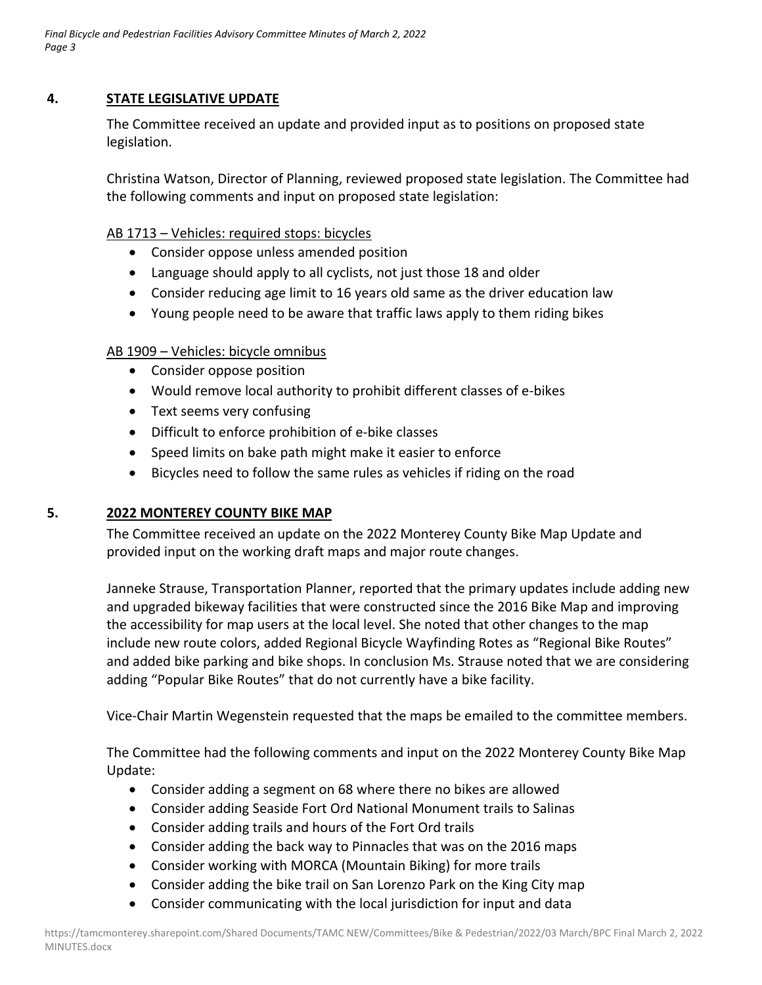### **4. STATE LEGISLATIVE UPDATE**

The Committee received an update and provided input as to positions on proposed state legislation.

Christina Watson, Director of Planning, reviewed proposed state legislation. The Committee had the following comments and input on proposed state legislation:

#### AB 1713 – Vehicles: required stops: bicycles

- Consider oppose unless amended position
- Language should apply to all cyclists, not just those 18 and older
- Consider reducing age limit to 16 years old same as the driver education law
- Young people need to be aware that traffic laws apply to them riding bikes

### AB 1909 – Vehicles: bicycle omnibus

- Consider oppose position
- Would remove local authority to prohibit different classes of e‐bikes
- Text seems very confusing
- Difficult to enforce prohibition of e-bike classes
- Speed limits on bake path might make it easier to enforce
- Bicycles need to follow the same rules as vehicles if riding on the road

## **5. 2022 MONTEREY COUNTY BIKE MAP**

The Committee received an update on the 2022 Monterey County Bike Map Update and provided input on the working draft maps and major route changes.

Janneke Strause, Transportation Planner, reported that the primary updates include adding new and upgraded bikeway facilities that were constructed since the 2016 Bike Map and improving the accessibility for map users at the local level. She noted that other changes to the map include new route colors, added Regional Bicycle Wayfinding Rotes as "Regional Bike Routes" and added bike parking and bike shops. In conclusion Ms. Strause noted that we are considering adding "Popular Bike Routes" that do not currently have a bike facility.

Vice‐Chair Martin Wegenstein requested that the maps be emailed to the committee members.

The Committee had the following comments and input on the 2022 Monterey County Bike Map Update:

- Consider adding a segment on 68 where there no bikes are allowed
- Consider adding Seaside Fort Ord National Monument trails to Salinas
- Consider adding trails and hours of the Fort Ord trails
- Consider adding the back way to Pinnacles that was on the 2016 maps
- Consider working with MORCA (Mountain Biking) for more trails
- Consider adding the bike trail on San Lorenzo Park on the King City map
- Consider communicating with the local jurisdiction for input and data